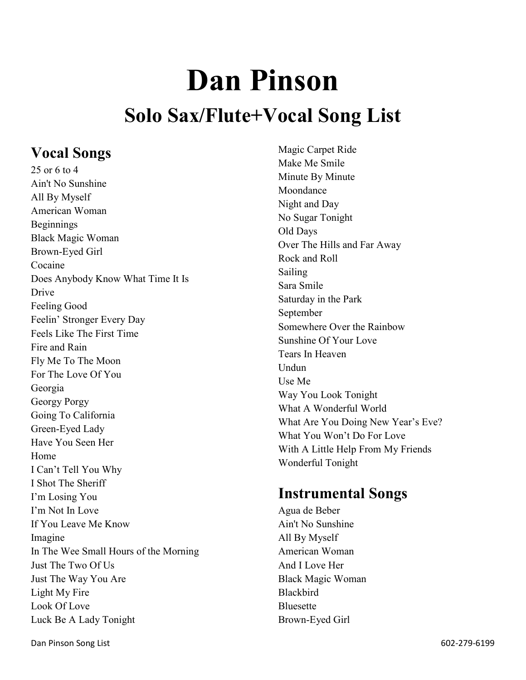## **Dan Pinson Solo Sax/Flute+Vocal Song List**

## **Vocal Songs**

25 or 6 to 4 Ain't No Sunshine All By Myself American Woman Beginnings Black Magic Woman Brown-Eyed Girl Cocaine Does Anybody Know What Time It Is Drive Feeling Good Feelin' Stronger Every Day Feels Like The First Time Fire and Rain Fly Me To The Moon For The Love Of You Georgia Georgy Porgy Going To California Green-Eyed Lady Have You Seen Her Home I Can't Tell You Why I Shot The Sheriff I'm Losing You I'm Not In Love If You Leave Me Know Imagine In The Wee Small Hours of the Morning Just The Two Of Us Just The Way You Are Light My Fire Look Of Love Luck Be A Lady Tonight

Magic Carpet Ride Make Me Smile Minute By Minute Moondance Night and Day No Sugar Tonight Old Days Over The Hills and Far Away Rock and Roll Sailing Sara Smile Saturday in the Park September Somewhere Over the Rainbow Sunshine Of Your Love Tears In Heaven Undun Use Me Way You Look Tonight What A Wonderful World What Are You Doing New Year's Eve? What You Won't Do For Love With A Little Help From My Friends Wonderful Tonight

## **Instrumental Songs**

Agua de Beber Ain't No Sunshine All By Myself American Woman And I Love Her Black Magic Woman Blackbird Bluesette Brown-Eyed Girl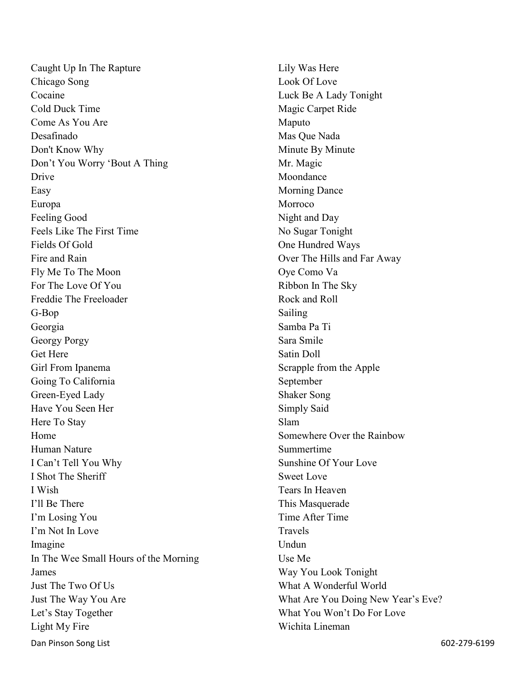Dan Pinson Song List 602-279-6199 Caught Up In The Rapture Chicago Song Cocaine Cold Duck Time Come As You Are Desafinado Don't Know Why Don't You Worry 'Bout A Thing Drive Easy Europa Feeling Good Feels Like The First Time Fields Of Gold Fire and Rain Fly Me To The Moon For The Love Of You Freddie The Freeloader G-Bop Georgia Georgy Porgy Get Here Girl From Ipanema Going To California Green-Eyed Lady Have You Seen Her Here To Stay Home Human Nature I Can't Tell You Why I Shot The Sheriff I Wish I'll Be There I'm Losing You I'm Not In Love Imagine In The Wee Small Hours of the Morning James Just The Two Of Us Just The Way You Are Let's Stay Together Light My Fire

Lily Was Here Look Of Love Luck Be A Lady Tonight Magic Carpet Ride Maputo Mas Que Nada Minute By Minute Mr. Magic Moondance Morning Dance Morroco Night and Day No Sugar Tonight One Hundred Ways Over The Hills and Far Away Oye Como Va Ribbon In The Sky Rock and Roll Sailing Samba Pa Ti Sara Smile Satin Doll Scrapple from the Apple September Shaker Song Simply Said Slam Somewhere Over the Rainbow Summertime Sunshine Of Your Love Sweet Love Tears In Heaven This Masquerade Time After Time Travels Undun Use Me Way You Look Tonight What A Wonderful World What Are You Doing New Year's Eve? What You Won't Do For Love Wichita Lineman